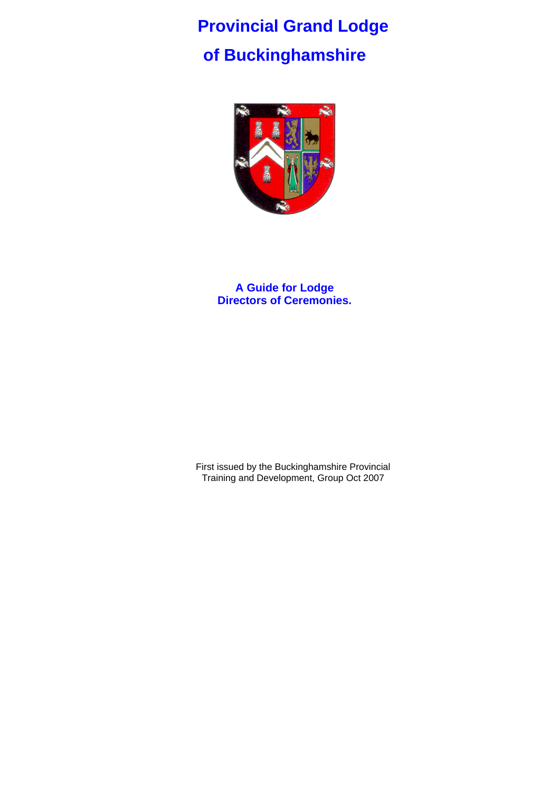# **Provincial Grand Lodge of Buckinghamshire**



**A Guide for Lodge Directors of Ceremonies.** 

First issued by the Buckinghamshire Provincial Training and Development, Group Oct 2007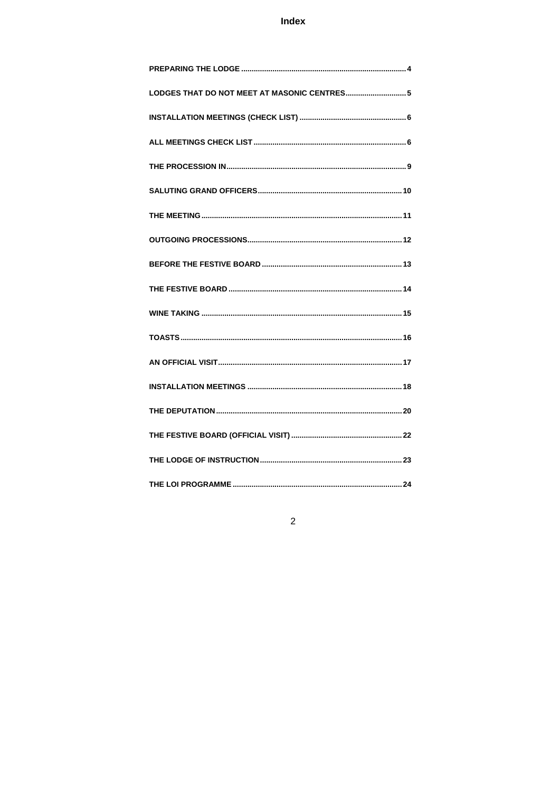# Index

| LODGES THAT DO NOT MEET AT MASONIC CENTRES 5 |
|----------------------------------------------|
|                                              |
|                                              |
|                                              |
|                                              |
|                                              |
|                                              |
|                                              |
|                                              |
|                                              |
|                                              |
|                                              |
|                                              |
|                                              |
|                                              |
|                                              |
|                                              |

# $\overline{c}$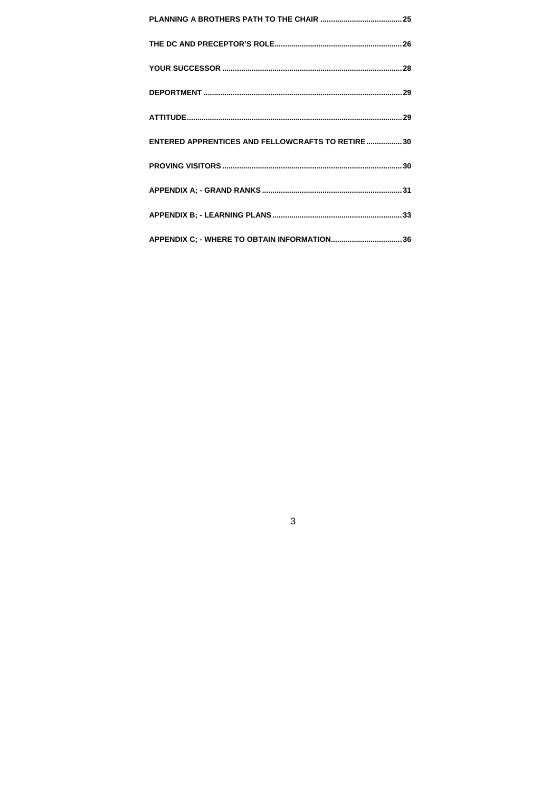| ENTERED APPRENTICES AND FELLOWCRAFTS TO RETIRE 30 |  |
|---------------------------------------------------|--|
|                                                   |  |
|                                                   |  |
|                                                   |  |
|                                                   |  |

 $\overline{3}$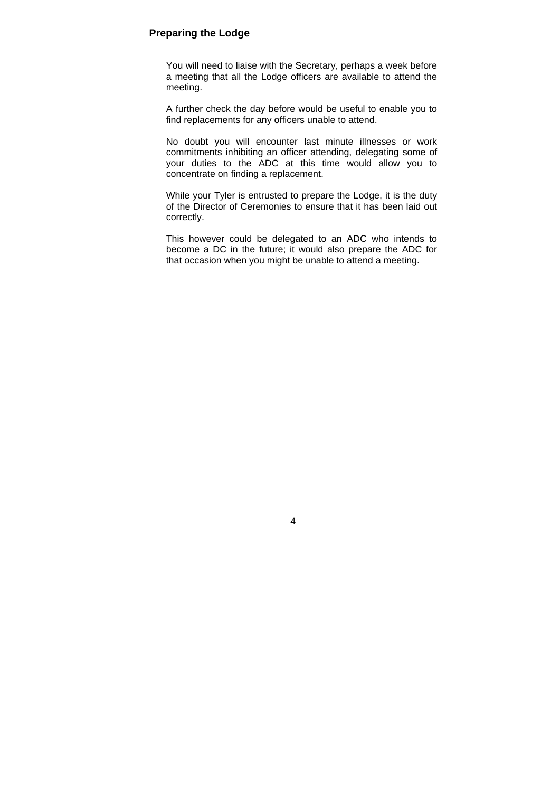#### **Preparing the Lodge**

You will need to liaise with the Secretary, perhaps a week before a meeting that all the Lodge officers are available to attend the meeting.

A further check the day before would be useful to enable you to find replacements for any officers unable to attend.

No doubt you will encounter last minute illnesses or work commitments inhibiting an officer attending, delegating some of your duties to the ADC at this time would allow you to concentrate on finding a replacement.

While your Tyler is entrusted to prepare the Lodge, it is the duty of the Director of Ceremonies to ensure that it has been laid out correctly.

This however could be delegated to an ADC who intends to become a DC in the future; it would also prepare the ADC for that occasion when you might be unable to attend a meeting.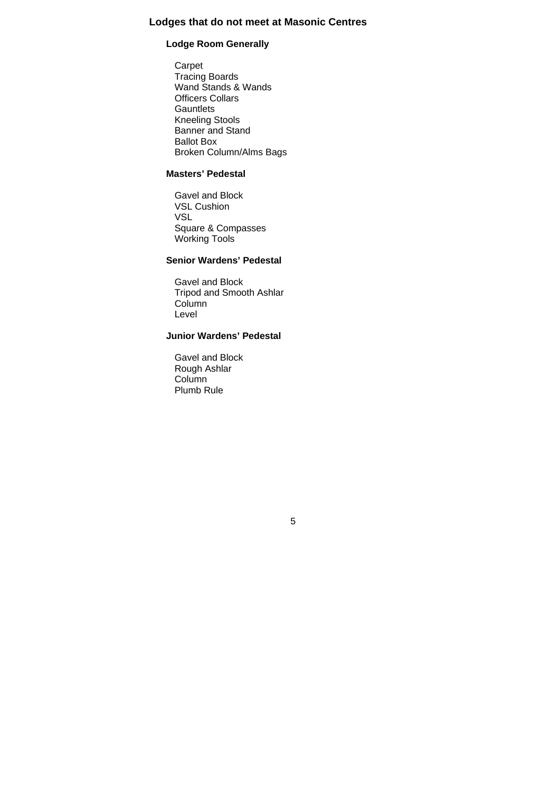### **Lodges that do not meet at Masonic Centres**

#### **Lodge Room Generally**

Carpet Tracing Boards Wand Stands & Wands Officers Collars **Gauntlets** Kneeling Stools Banner and Stand Ballot Box Broken Column/Alms Bags

#### **Masters' Pedestal**

Gavel and Block VSL Cushion VSL Square & Compasses Working Tools

### **Senior Wardens' Pedestal**

Gavel and Block Tripod and Smooth Ashlar Column Level

# **Junior Wardens' Pedestal**

5

Gavel and Block Rough Ashlar Column Plumb Rule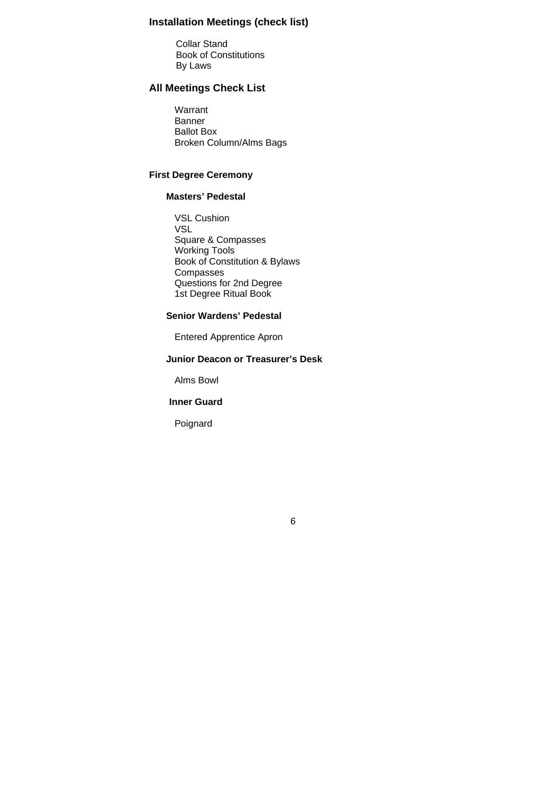# **Installation Meetings (check list)**

Collar Stand Book of Constitutions By Laws

# **All Meetings Check List**

Warrant Banner Ballot Box Broken Column/Alms Bags

#### **First Degree Ceremony**

### **Masters' Pedestal**

VSL Cushion VSL Square & Compasses Working Tools Book of Constitution & Bylaws **Compasses** Questions for 2nd Degree 1st Degree Ritual Book

## **Senior Wardens' Pedestal**

Entered Apprentice Apron

#### **Junior Deacon or Treasurer's Desk**

Alms Bowl

#### **Inner Guard**

Poignard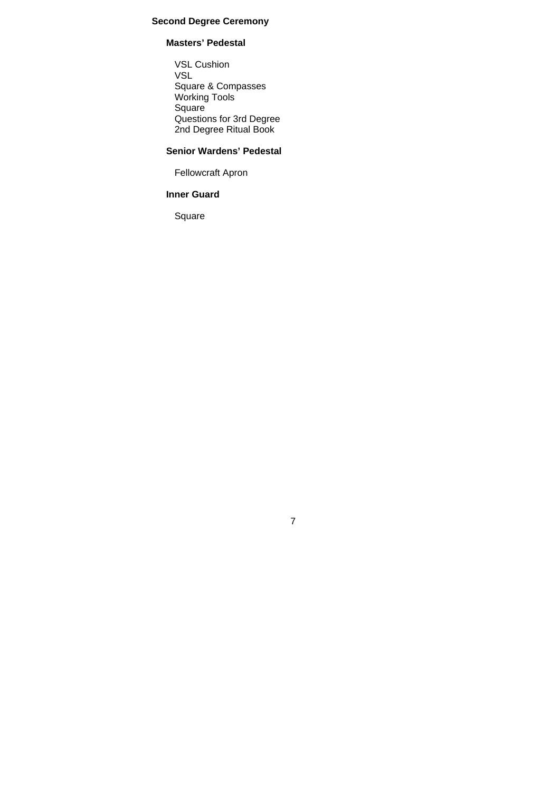### **Second Degree Ceremony**

#### **Masters' Pedestal**

VSL Cushion VSL Square & Compasses Working Tools Square Questions for 3rd Degree 2nd Degree Ritual Book

# **Senior Wardens' Pedestal**

7

Fellowcraft Apron

# **Inner Guard**

Square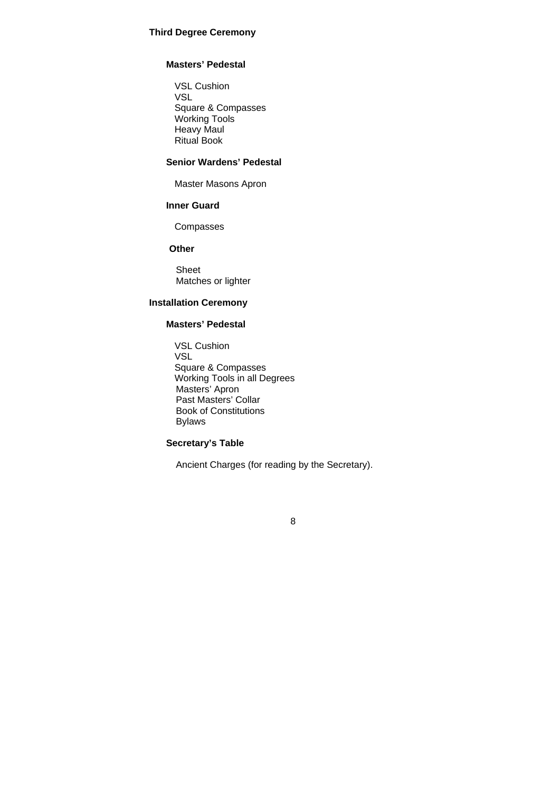#### **Third Degree Ceremony**

#### **Masters' Pedestal**

VSL Cushion VSL Square & Compasses Working Tools Heavy Maul Ritual Book

#### **Senior Wardens' Pedestal**

Master Masons Apron

#### **Inner Guard**

Compasses

#### **Other**

Sheet Matches or lighter

#### **Installation Ceremony**

#### **Masters' Pedestal**

VSL Cushion VSL Square & Compasses Working Tools in all Degrees Masters' Apron Past Masters' Collar Book of Constitutions Bylaws

#### **Secretary's Table**

Ancient Charges (for reading by the Secretary).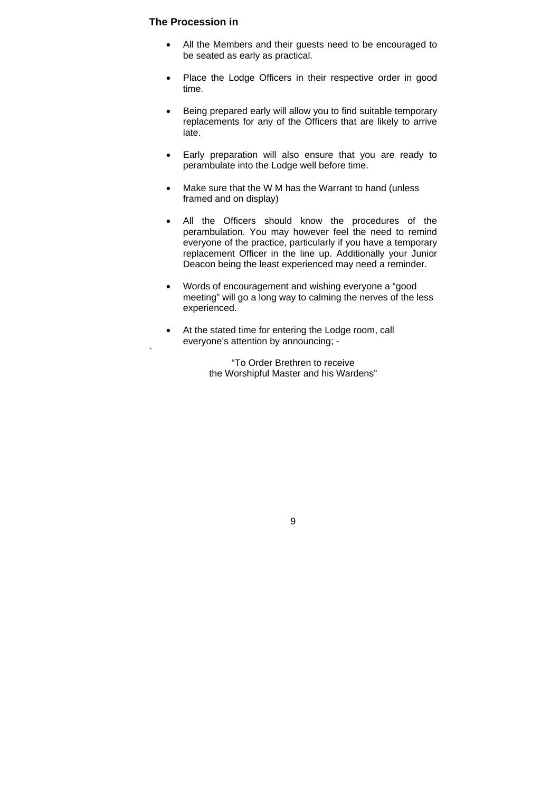#### **The Procession in**

`

- All the Members and their guests need to be encouraged to be seated as early as practical.
- Place the Lodge Officers in their respective order in good time.
- Being prepared early will allow you to find suitable temporary replacements for any of the Officers that are likely to arrive late.
- Early preparation will also ensure that you are ready to perambulate into the Lodge well before time.
- Make sure that the W M has the Warrant to hand (unless framed and on display)
- All the Officers should know the procedures of the perambulation. You may however feel the need to remind everyone of the practice, particularly if you have a temporary replacement Officer in the line up. Additionally your Junior Deacon being the least experienced may need a reminder.
- Words of encouragement and wishing everyone a "good meeting" will go a long way to calming the nerves of the less experienced.
- At the stated time for entering the Lodge room, call everyone's attention by announcing; -

"To Order Brethren to receive the Worshipful Master and his Wardens"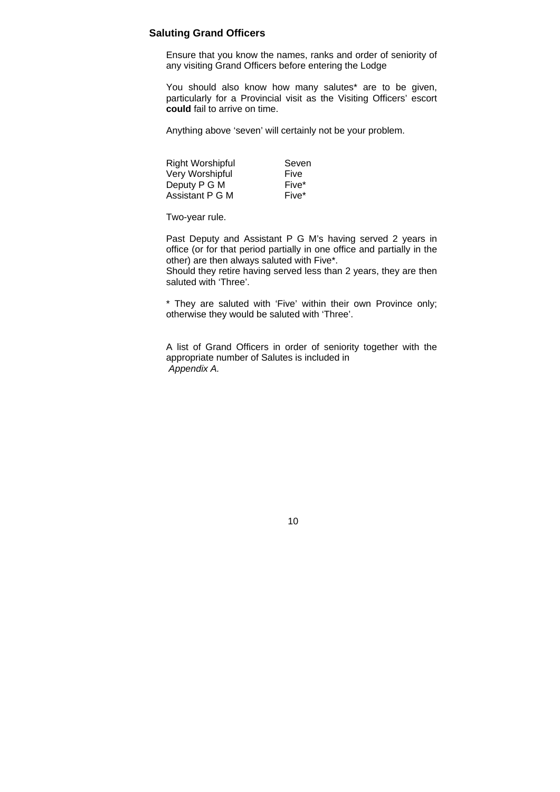#### **Saluting Grand Officers**

Ensure that you know the names, ranks and order of seniority of any visiting Grand Officers before entering the Lodge

You should also know how many salutes\* are to be given, particularly for a Provincial visit as the Visiting Officers' escort **could** fail to arrive on time.

Anything above 'seven' will certainly not be your problem.

Right Worshipful Seven Very Worshipful Five Deputy P G M Five\* Assistant P G M Five\*

Two-year rule.

Past Deputy and Assistant P G M's having served 2 years in office (or for that period partially in one office and partially in the other) are then always saluted with Five\*.

Should they retire having served less than 2 years, they are then saluted with 'Three'.

\* They are saluted with 'Five' within their own Province only; otherwise they would be saluted with 'Three'.

A list of Grand Officers in order of seniority together with the appropriate number of Salutes is included in *Appendix A.*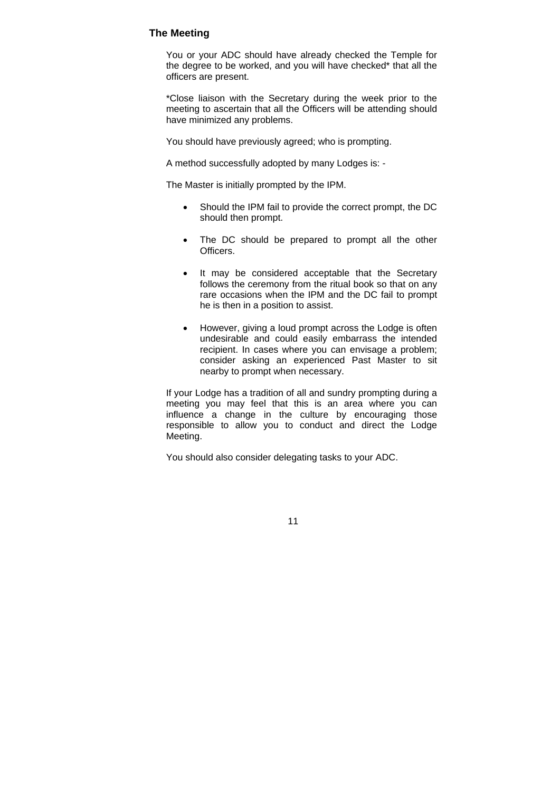#### **The Meeting**

You or your ADC should have already checked the Temple for the degree to be worked, and you will have checked\* that all the officers are present.

\*Close liaison with the Secretary during the week prior to the meeting to ascertain that all the Officers will be attending should have minimized any problems.

You should have previously agreed; who is prompting.

A method successfully adopted by many Lodges is: -

The Master is initially prompted by the IPM.

- Should the IPM fail to provide the correct prompt, the DC should then prompt.
- The DC should be prepared to prompt all the other Officers.
- It may be considered acceptable that the Secretary follows the ceremony from the ritual book so that on any rare occasions when the IPM and the DC fail to prompt he is then in a position to assist.
- However, giving a loud prompt across the Lodge is often undesirable and could easily embarrass the intended recipient. In cases where you can envisage a problem; consider asking an experienced Past Master to sit nearby to prompt when necessary.

If your Lodge has a tradition of all and sundry prompting during a meeting you may feel that this is an area where you can influence a change in the culture by encouraging those responsible to allow you to conduct and direct the Lodge Meeting.

You should also consider delegating tasks to your ADC.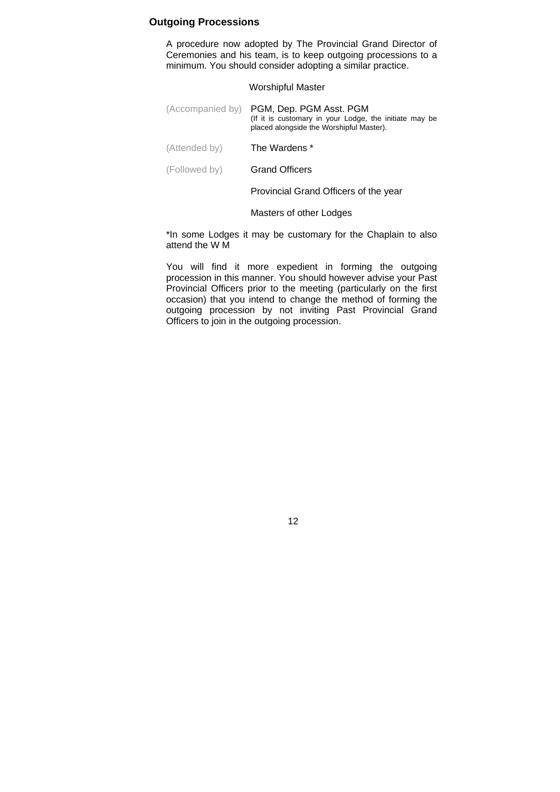#### **Outgoing Processions**

A procedure now adopted by The Provincial Grand Director of Ceremonies and his team, is to keep outgoing processions to a minimum. You should consider adopting a similar practice.

#### Worshipful Master

|               | (Accompanied by) PGM, Dep. PGM Asst. PGM<br>(If it is customary in your Lodge, the initiate may be<br>placed alongside the Worshipful Master). |
|---------------|------------------------------------------------------------------------------------------------------------------------------------------------|
| (Attended by) | The Wardens *                                                                                                                                  |

(Followed by) Grand Officers

Provincial Grand Officers of the year

Masters of other Lodges

\*In some Lodges it may be customary for the Chaplain to also attend the W M

You will find it more expedient in forming the outgoing procession in this manner. You should however advise your Past Provincial Officers prior to the meeting (particularly on the first occasion) that you intend to change the method of forming the outgoing procession by not inviting Past Provincial Grand Officers to join in the outgoing procession.

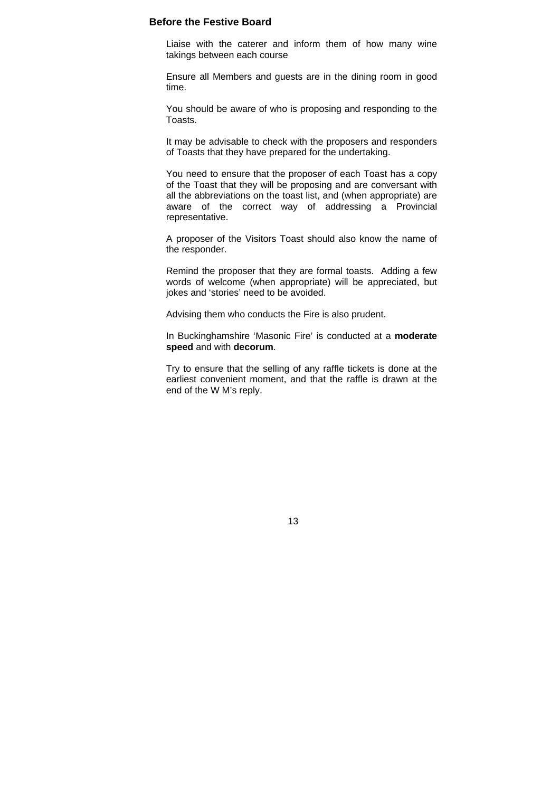#### **Before the Festive Board**

Liaise with the caterer and inform them of how many wine takings between each course

Ensure all Members and guests are in the dining room in good time.

You should be aware of who is proposing and responding to the Toasts.

It may be advisable to check with the proposers and responders of Toasts that they have prepared for the undertaking.

You need to ensure that the proposer of each Toast has a copy of the Toast that they will be proposing and are conversant with all the abbreviations on the toast list, and (when appropriate) are aware of the correct way of addressing a Provincial representative.

A proposer of the Visitors Toast should also know the name of the responder.

Remind the proposer that they are formal toasts. Adding a few words of welcome (when appropriate) will be appreciated, but jokes and 'stories' need to be avoided.

Advising them who conducts the Fire is also prudent.

In Buckinghamshire 'Masonic Fire' is conducted at a **moderate speed** and with **decorum**.

Try to ensure that the selling of any raffle tickets is done at the earliest convenient moment, and that the raffle is drawn at the end of the W M's reply.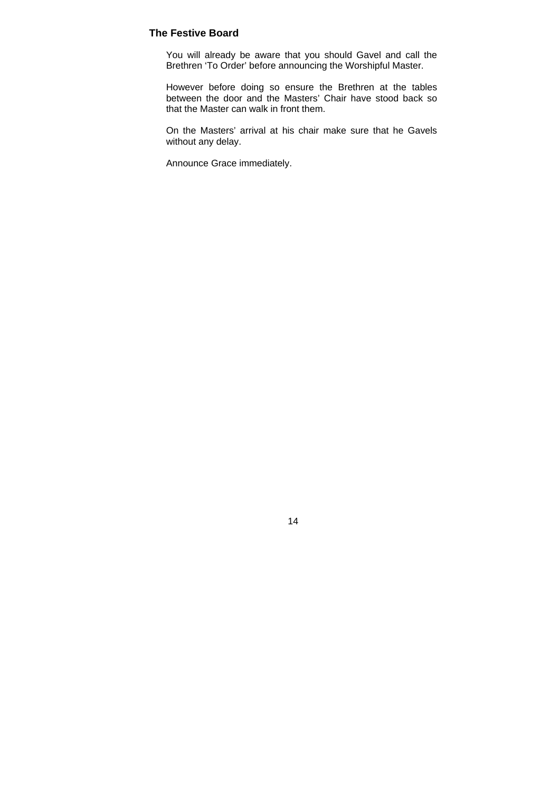#### **The Festive Board**

You will already be aware that you should Gavel and call the Brethren 'To Order' before announcing the Worshipful Master.

However before doing so ensure the Brethren at the tables between the door and the Masters' Chair have stood back so that the Master can walk in front them.

On the Masters' arrival at his chair make sure that he Gavels without any delay.

Announce Grace immediately.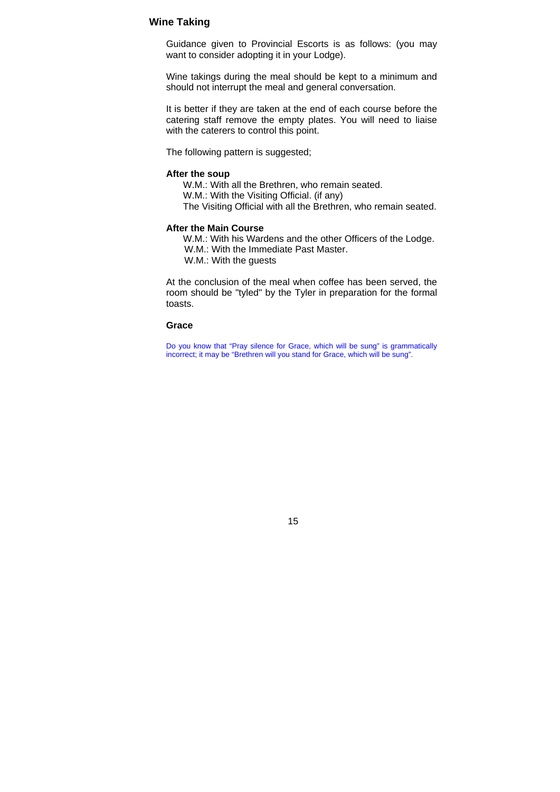#### **Wine Taking**

Guidance given to Provincial Escorts is as follows: (you may want to consider adopting it in your Lodge).

Wine takings during the meal should be kept to a minimum and should not interrupt the meal and general conversation.

It is better if they are taken at the end of each course before the catering staff remove the empty plates. You will need to liaise with the caterers to control this point.

The following pattern is suggested;

#### **After the soup**

W.M.: With all the Brethren, who remain seated.

W.M.: With the Visiting Official. (if any)

The Visiting Official with all the Brethren, who remain seated.

#### **After the Main Course**

W.M.: With his Wardens and the other Officers of the Lodge.

W.M.: With the Immediate Past Master.

W.M.: With the guests

At the conclusion of the meal when coffee has been served, the room should be "tyled" by the Tyler in preparation for the formal toasts.

#### **Grace**

Do you know that "Pray silence for Grace, which will be sung" is grammatically incorrect; it may be "Brethren will you stand for Grace, which will be sung".

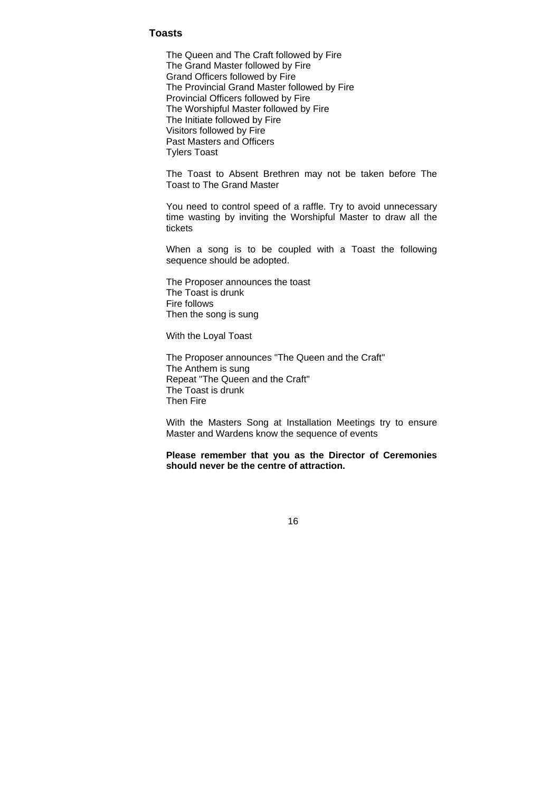#### **Toasts**

The Queen and The Craft followed by Fire The Grand Master followed by Fire Grand Officers followed by Fire The Provincial Grand Master followed by Fire Provincial Officers followed by Fire The Worshipful Master followed by Fire The Initiate followed by Fire Visitors followed by Fire Past Masters and Officers Tylers Toast

The Toast to Absent Brethren may not be taken before The Toast to The Grand Master

You need to control speed of a raffle. Try to avoid unnecessary time wasting by inviting the Worshipful Master to draw all the tickets

When a song is to be coupled with a Toast the following sequence should be adopted.

The Proposer announces the toast The Toast is drunk Fire follows Then the song is sung

With the Loyal Toast

The Proposer announces "The Queen and the Craft" The Anthem is sung Repeat "The Queen and the Craft" The Toast is drunk Then Fire

With the Masters Song at Installation Meetings try to ensure Master and Wardens know the sequence of events

**Please remember that you as the Director of Ceremonies should never be the centre of attraction.**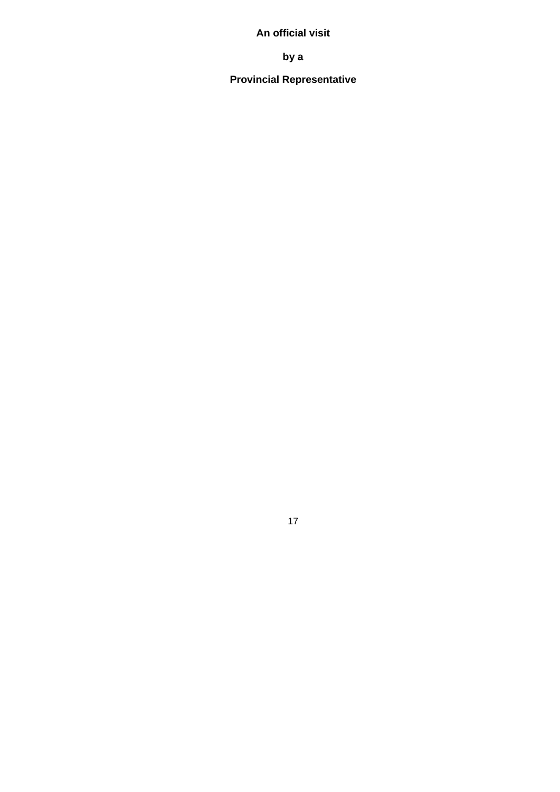# **An official visit**

**by a** 

# **Provincial Representative**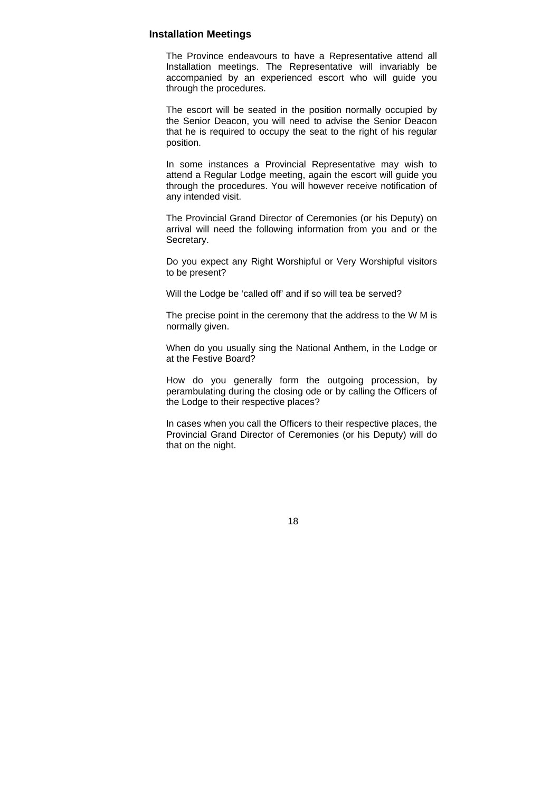#### **Installation Meetings**

The Province endeavours to have a Representative attend all Installation meetings. The Representative will invariably be accompanied by an experienced escort who will guide you through the procedures.

The escort will be seated in the position normally occupied by the Senior Deacon, you will need to advise the Senior Deacon that he is required to occupy the seat to the right of his regular position.

In some instances a Provincial Representative may wish to attend a Regular Lodge meeting, again the escort will guide you through the procedures. You will however receive notification of any intended visit.

The Provincial Grand Director of Ceremonies (or his Deputy) on arrival will need the following information from you and or the Secretary.

Do you expect any Right Worshipful or Very Worshipful visitors to be present?

Will the Lodge be 'called off' and if so will tea be served?

The precise point in the ceremony that the address to the W M is normally given.

When do you usually sing the National Anthem, in the Lodge or at the Festive Board?

How do you generally form the outgoing procession, by perambulating during the closing ode or by calling the Officers of the Lodge to their respective places?

In cases when you call the Officers to their respective places, the Provincial Grand Director of Ceremonies (or his Deputy) will do that on the night.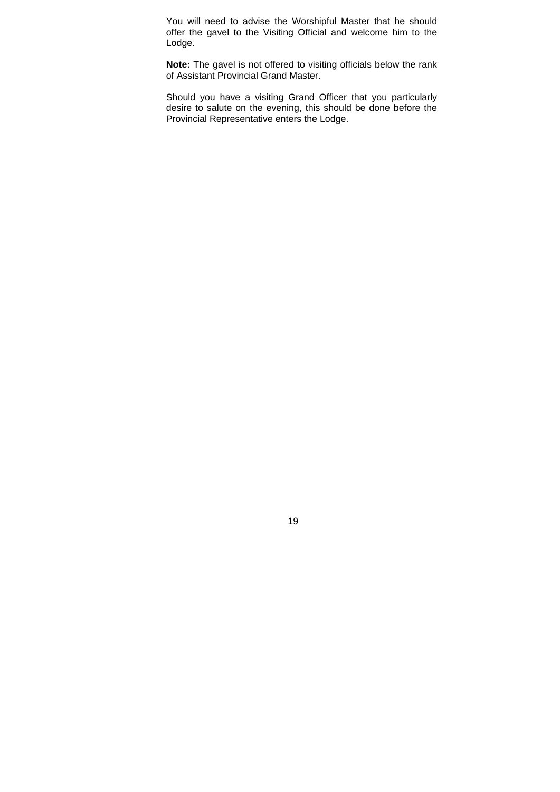You will need to advise the Worshipful Master that he should offer the gavel to the Visiting Official and welcome him to the Lodge.

**Note:** The gavel is not offered to visiting officials below the rank of Assistant Provincial Grand Master.

Should you have a visiting Grand Officer that you particularly desire to salute on the evening, this should be done before the Provincial Representative enters the Lodge.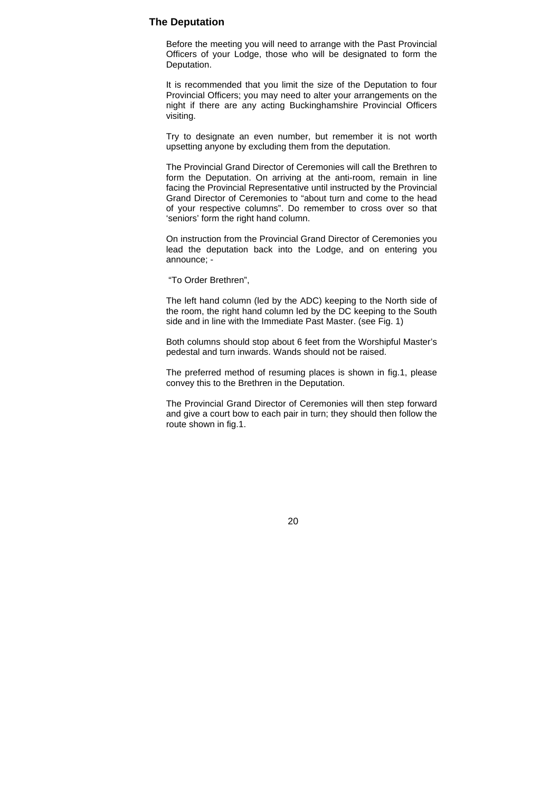#### **The Deputation**

Before the meeting you will need to arrange with the Past Provincial Officers of your Lodge, those who will be designated to form the Deputation.

It is recommended that you limit the size of the Deputation to four Provincial Officers; you may need to alter your arrangements on the night if there are any acting Buckinghamshire Provincial Officers visiting.

Try to designate an even number, but remember it is not worth upsetting anyone by excluding them from the deputation.

The Provincial Grand Director of Ceremonies will call the Brethren to form the Deputation. On arriving at the anti-room, remain in line facing the Provincial Representative until instructed by the Provincial Grand Director of Ceremonies to "about turn and come to the head of your respective columns". Do remember to cross over so that 'seniors' form the right hand column.

On instruction from the Provincial Grand Director of Ceremonies you lead the deputation back into the Lodge, and on entering you announce; -

"To Order Brethren",

The left hand column (led by the ADC) keeping to the North side of the room, the right hand column led by the DC keeping to the South side and in line with the Immediate Past Master. (see Fig. 1)

Both columns should stop about 6 feet from the Worshipful Master's pedestal and turn inwards. Wands should not be raised.

The preferred method of resuming places is shown in fig.1, please convey this to the Brethren in the Deputation.

The Provincial Grand Director of Ceremonies will then step forward and give a court bow to each pair in turn; they should then follow the route shown in fig.1.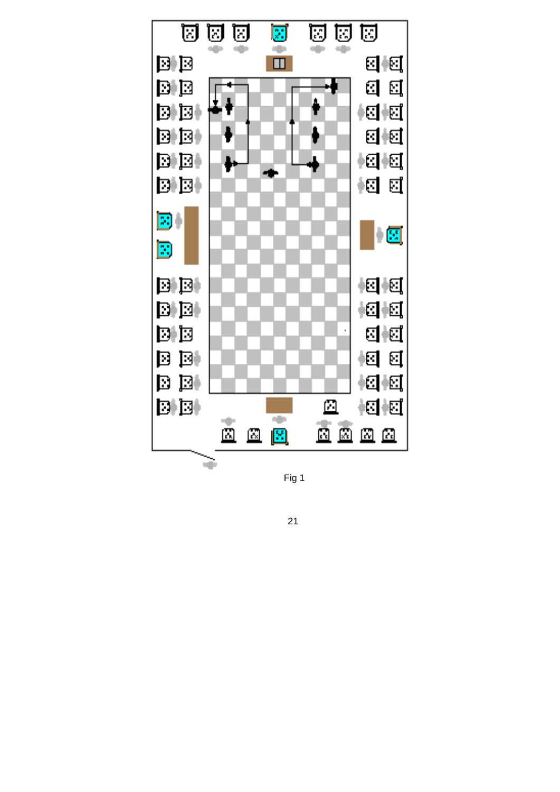

Fig 1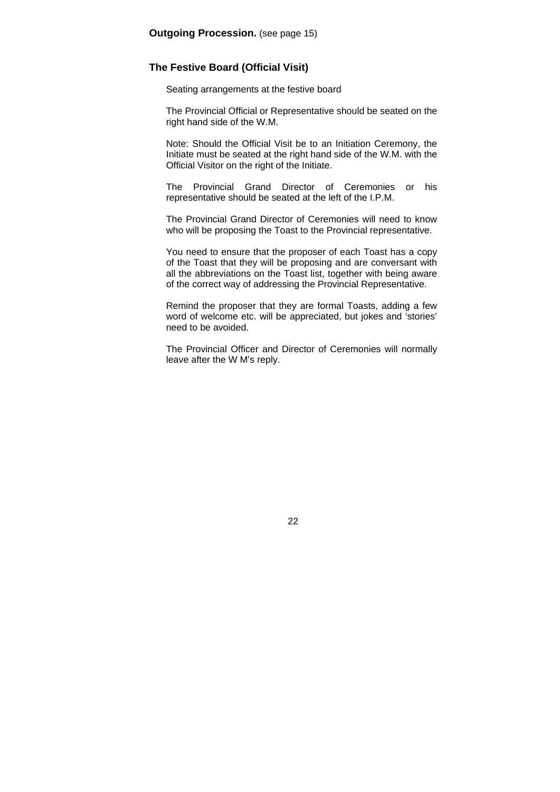#### **The Festive Board (Official Visit)**

Seating arrangements at the festive board

The Provincial Official or Representative should be seated on the right hand side of the W.M.

Note: Should the Official Visit be to an Initiation Ceremony, the Initiate must be seated at the right hand side of the W.M. with the Official Visitor on the right of the Initiate.

The Provincial Grand Director of Ceremonies or his representative should be seated at the left of the I.P.M.

The Provincial Grand Director of Ceremonies will need to know who will be proposing the Toast to the Provincial representative.

You need to ensure that the proposer of each Toast has a copy of the Toast that they will be proposing and are conversant with all the abbreviations on the Toast list, together with being aware of the correct way of addressing the Provincial Representative.

Remind the proposer that they are formal Toasts, adding a few word of welcome etc. will be appreciated, but jokes and 'stories' need to be avoided.

The Provincial Officer and Director of Ceremonies will normally leave after the W M's reply.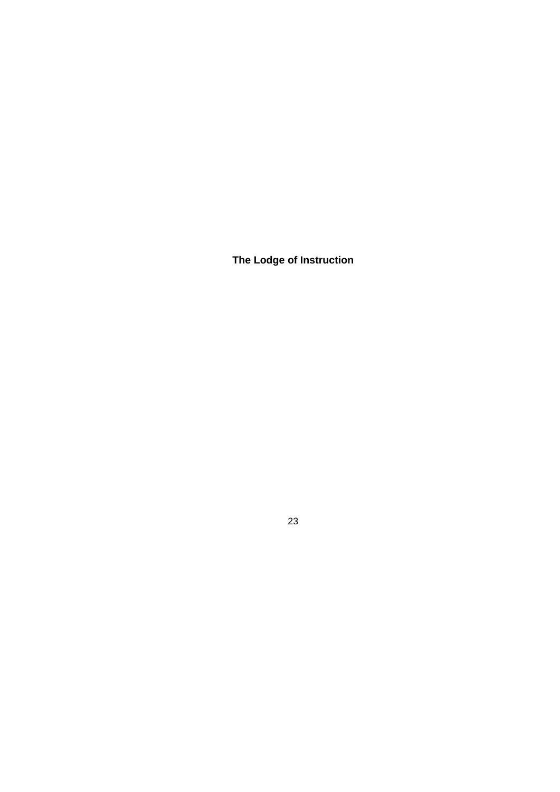**The Lodge of Instruction**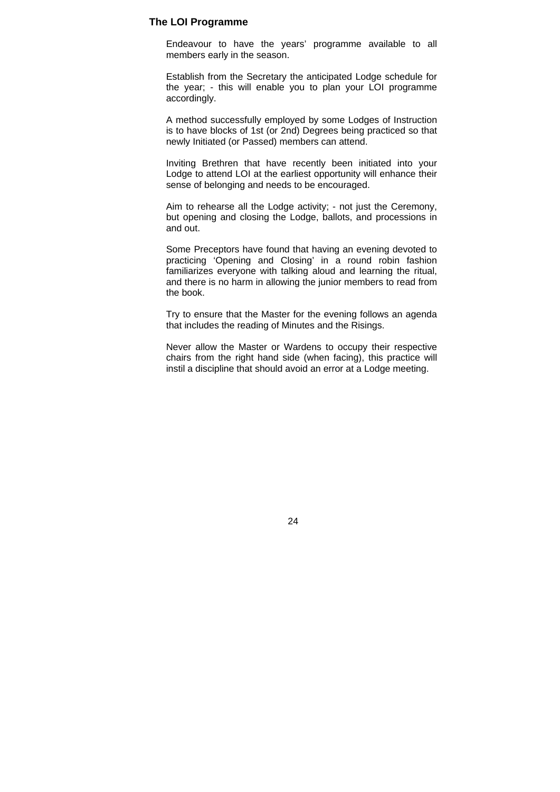#### **The LOI Programme**

Endeavour to have the years' programme available to all members early in the season.

Establish from the Secretary the anticipated Lodge schedule for the year; - this will enable you to plan your LOI programme accordingly.

A method successfully employed by some Lodges of Instruction is to have blocks of 1st (or 2nd) Degrees being practiced so that newly Initiated (or Passed) members can attend.

Inviting Brethren that have recently been initiated into your Lodge to attend LOI at the earliest opportunity will enhance their sense of belonging and needs to be encouraged.

Aim to rehearse all the Lodge activity; - not just the Ceremony, but opening and closing the Lodge, ballots, and processions in and out.

Some Preceptors have found that having an evening devoted to practicing 'Opening and Closing' in a round robin fashion familiarizes everyone with talking aloud and learning the ritual, and there is no harm in allowing the junior members to read from the book.

Try to ensure that the Master for the evening follows an agenda that includes the reading of Minutes and the Risings.

Never allow the Master or Wardens to occupy their respective chairs from the right hand side (when facing), this practice will instil a discipline that should avoid an error at a Lodge meeting.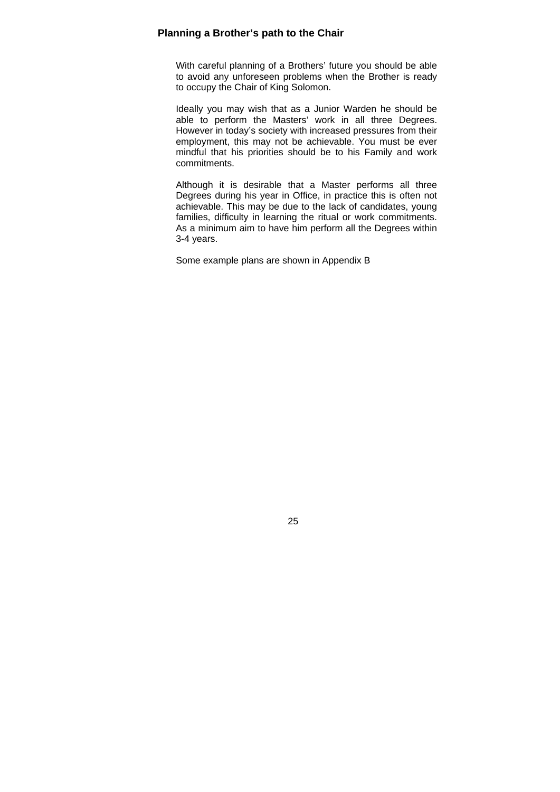#### **Planning a Brother's path to the Chair**

With careful planning of a Brothers' future you should be able to avoid any unforeseen problems when the Brother is ready to occupy the Chair of King Solomon.

Ideally you may wish that as a Junior Warden he should be able to perform the Masters' work in all three Degrees. However in today's society with increased pressures from their employment, this may not be achievable. You must be ever mindful that his priorities should be to his Family and work commitments.

Although it is desirable that a Master performs all three Degrees during his year in Office, in practice this is often not achievable. This may be due to the lack of candidates, young families, difficulty in learning the ritual or work commitments. As a minimum aim to have him perform all the Degrees within 3-4 years.

Some example plans are shown in Appendix B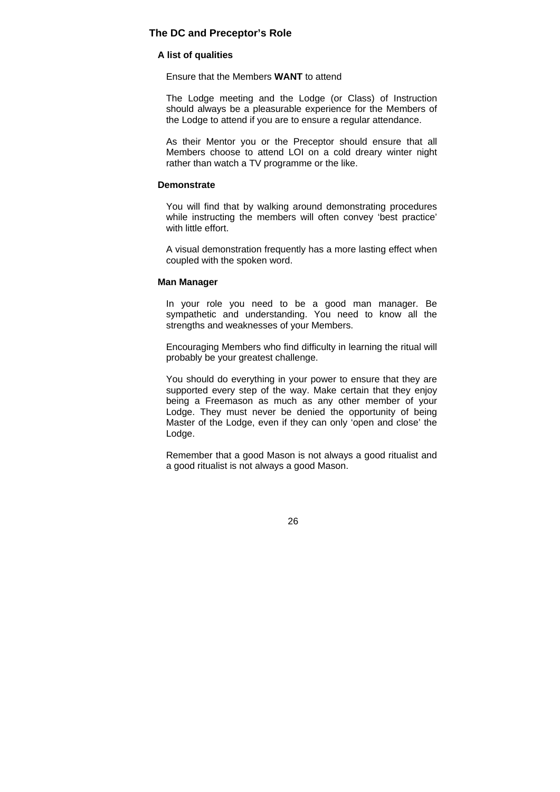#### **The DC and Preceptor's Role**

#### **A list of qualities**

Ensure that the Members **WANT** to attend

The Lodge meeting and the Lodge (or Class) of Instruction should always be a pleasurable experience for the Members of the Lodge to attend if you are to ensure a regular attendance.

As their Mentor you or the Preceptor should ensure that all Members choose to attend LOI on a cold dreary winter night rather than watch a TV programme or the like.

#### **Demonstrate**

You will find that by walking around demonstrating procedures while instructing the members will often convey 'best practice' with little effort.

A visual demonstration frequently has a more lasting effect when coupled with the spoken word.

#### **Man Manager**

In your role you need to be a good man manager. Be sympathetic and understanding. You need to know all the strengths and weaknesses of your Members.

Encouraging Members who find difficulty in learning the ritual will probably be your greatest challenge.

You should do everything in your power to ensure that they are supported every step of the way. Make certain that they enjoy being a Freemason as much as any other member of your Lodge. They must never be denied the opportunity of being Master of the Lodge, even if they can only 'open and close' the Lodge.

Remember that a good Mason is not always a good ritualist and a good ritualist is not always a good Mason.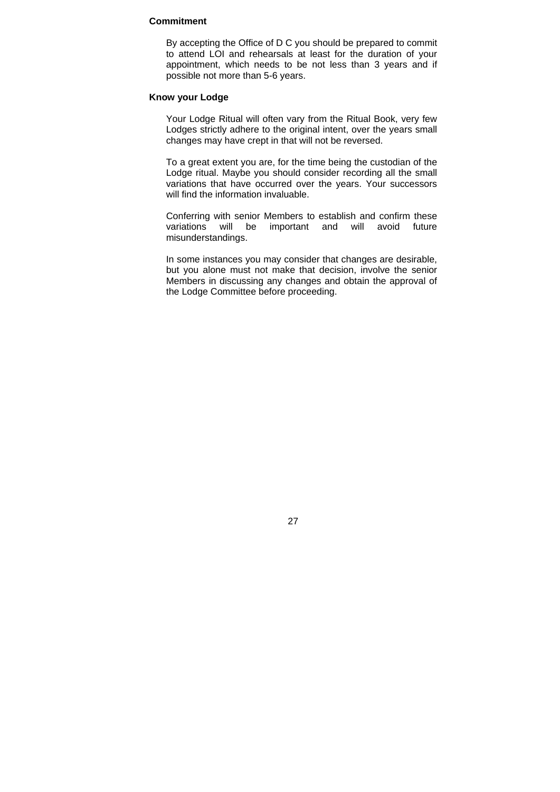#### **Commitment**

By accepting the Office of D C you should be prepared to commit to attend LOI and rehearsals at least for the duration of your appointment, which needs to be not less than 3 years and if possible not more than 5-6 years.

#### **Know your Lodge**

Your Lodge Ritual will often vary from the Ritual Book, very few Lodges strictly adhere to the original intent, over the years small changes may have crept in that will not be reversed.

To a great extent you are, for the time being the custodian of the Lodge ritual. Maybe you should consider recording all the small variations that have occurred over the years. Your successors will find the information invaluable.

Conferring with senior Members to establish and confirm these variations will be important and will avoid future misunderstandings.

In some instances you may consider that changes are desirable, but you alone must not make that decision, involve the senior Members in discussing any changes and obtain the approval of the Lodge Committee before proceeding.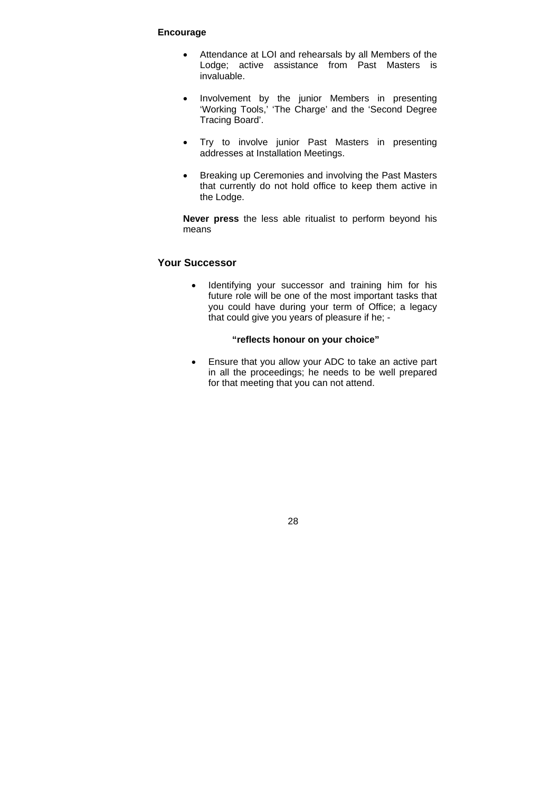#### **Encourage**

- Attendance at LOI and rehearsals by all Members of the Lodge; active assistance from Past Masters is invaluable.
- Involvement by the junior Members in presenting 'Working Tools,' 'The Charge' and the 'Second Degree Tracing Board'.
- Try to involve junior Past Masters in presenting addresses at Installation Meetings.
- Breaking up Ceremonies and involving the Past Masters that currently do not hold office to keep them active in the Lodge.

**Never press** the less able ritualist to perform beyond his means

## **Your Successor**

• Identifying your successor and training him for his future role will be one of the most important tasks that you could have during your term of Office; a legacy that could give you years of pleasure if he; -

#### **"reflects honour on your choice"**

 Ensure that you allow your ADC to take an active part in all the proceedings; he needs to be well prepared for that meeting that you can not attend.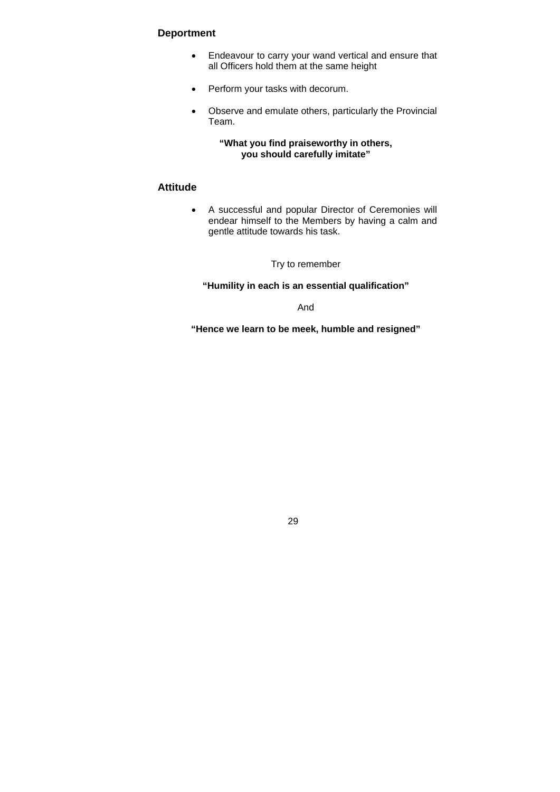## **Deportment**

- Endeavour to carry your wand vertical and ensure that all Officers hold them at the same height
- Perform your tasks with decorum.
- Observe and emulate others, particularly the Provincial Team.

**"What you find praiseworthy in others, you should carefully imitate"**

#### **Attitude**

 A successful and popular Director of Ceremonies will endear himself to the Members by having a calm and gentle attitude towards his task.

Try to remember

**"Humility in each is an essential qualification"** 

And

**"Hence we learn to be meek, humble and resigned"**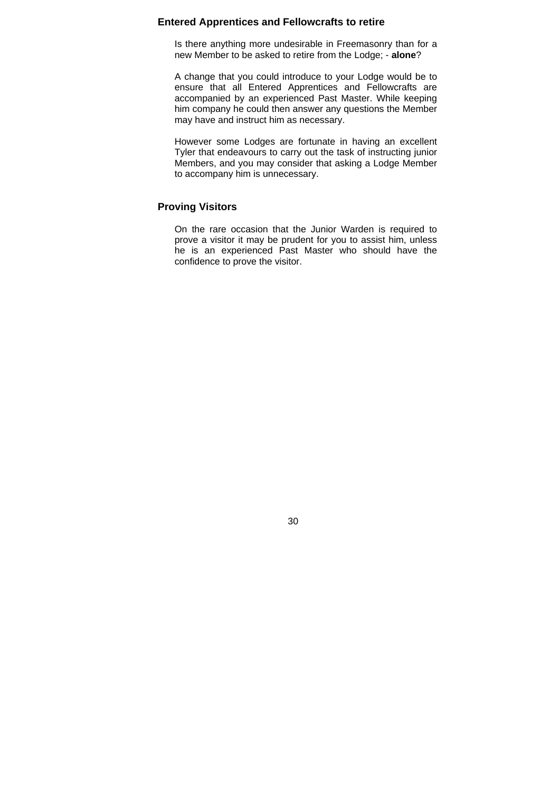#### **Entered Apprentices and Fellowcrafts to retire**

Is there anything more undesirable in Freemasonry than for a new Member to be asked to retire from the Lodge; - **alone**?

A change that you could introduce to your Lodge would be to ensure that all Entered Apprentices and Fellowcrafts are accompanied by an experienced Past Master. While keeping him company he could then answer any questions the Member may have and instruct him as necessary.

However some Lodges are fortunate in having an excellent Tyler that endeavours to carry out the task of instructing junior Members, and you may consider that asking a Lodge Member to accompany him is unnecessary.

#### **Proving Visitors**

On the rare occasion that the Junior Warden is required to prove a visitor it may be prudent for you to assist him, unless he is an experienced Past Master who should have the confidence to prove the visitor.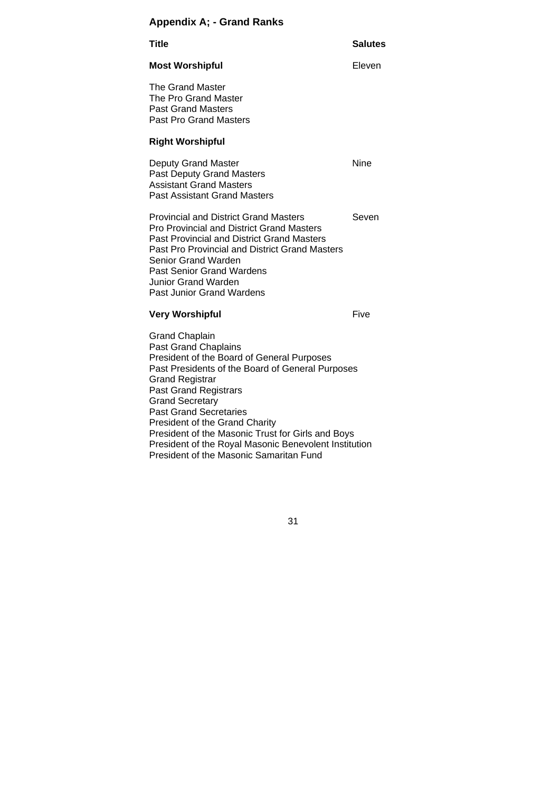# **Appendix A; - Grand Ranks**

| <b>Title</b>                                                                                                                                                                                                                                                                                                           | <b>Salutes</b> |
|------------------------------------------------------------------------------------------------------------------------------------------------------------------------------------------------------------------------------------------------------------------------------------------------------------------------|----------------|
| <b>Most Worshipful</b>                                                                                                                                                                                                                                                                                                 | Eleven         |
| The Grand Master<br>The Pro Grand Master<br><b>Past Grand Masters</b><br><b>Past Pro Grand Masters</b>                                                                                                                                                                                                                 |                |
| <b>Right Worshipful</b>                                                                                                                                                                                                                                                                                                |                |
| Deputy Grand Master<br><b>Past Deputy Grand Masters</b><br><b>Assistant Grand Masters</b><br><b>Past Assistant Grand Masters</b>                                                                                                                                                                                       | <b>Nine</b>    |
| <b>Provincial and District Grand Masters</b><br><b>Pro Provincial and District Grand Masters</b><br><b>Past Provincial and District Grand Masters</b><br>Past Pro Provincial and District Grand Masters<br>Senior Grand Warden<br>Past Senior Grand Wardens<br><b>Junior Grand Warden</b><br>Past Junior Grand Wardens | Seven          |
| <b>Very Worshipful</b>                                                                                                                                                                                                                                                                                                 | Five           |
| <b>Grand Chaplain</b><br><b>Past Grand Chaplains</b><br>President of the Board of General Purposes<br>Past Presidents of the Board of General Purposes<br>Grand Registrar<br><b>Past Grand Registrars</b>                                                                                                              |                |

Grand Secretary Past Grand Secretaries President of the Grand Charity President of the Masonic Trust for Girls and Boys President of the Royal Masonic Benevolent Institution

President of the Masonic Samaritan Fund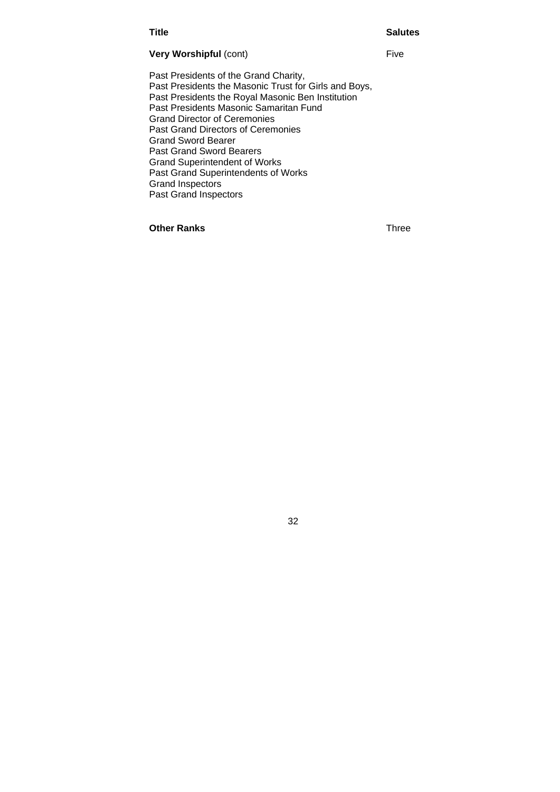#### **Title Salutes** Salutes

#### **Very Worshipful** (cont) Five

Past Presidents of the Grand Charity, Past Presidents the Masonic Trust for Girls and Boys, Past Presidents the Royal Masonic Ben Institution Past Presidents Masonic Samaritan Fund Grand Director of Ceremonies Past Grand Directors of Ceremonies Grand Sword Bearer Past Grand Sword Bearers Grand Superintendent of Works Past Grand Superintendents of Works Grand Inspectors Past Grand Inspectors

32

**Other Ranks** Three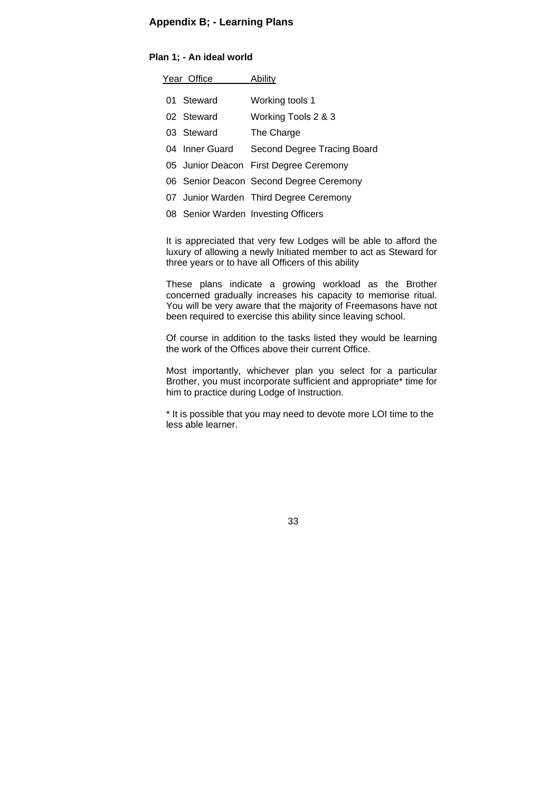#### **Appendix B; - Learning Plans**

#### **Plan 1; - An ideal world**

| Year Office |                | Ability                                 |
|-------------|----------------|-----------------------------------------|
|             | 01 Steward     | Working tools 1                         |
|             | 02 Steward     | Working Tools 2 & 3                     |
|             | 03 Steward     | The Charge                              |
|             | 04 Inner Guard | Second Degree Tracing Board             |
|             |                | 05 Junior Deacon First Degree Ceremony  |
|             |                | 06 Senior Deacon Second Degree Ceremony |
|             |                | 07 Junior Warden Third Degree Ceremony  |
|             |                |                                         |

08 Senior Warden Investing Officers

It is appreciated that very few Lodges will be able to afford the luxury of allowing a newly Initiated member to act as Steward for three years or to have all Officers of this ability

These plans indicate a growing workload as the Brother concerned gradually increases his capacity to memorise ritual. You will be very aware that the majority of Freemasons have not been required to exercise this ability since leaving school.

Of course in addition to the tasks listed they would be learning the work of the Offices above their current Office.

Most importantly, whichever plan you select for a particular Brother, you must incorporate sufficient and appropriate\* time for him to practice during Lodge of Instruction.

\* It is possible that you may need to devote more LOI time to the less able learner.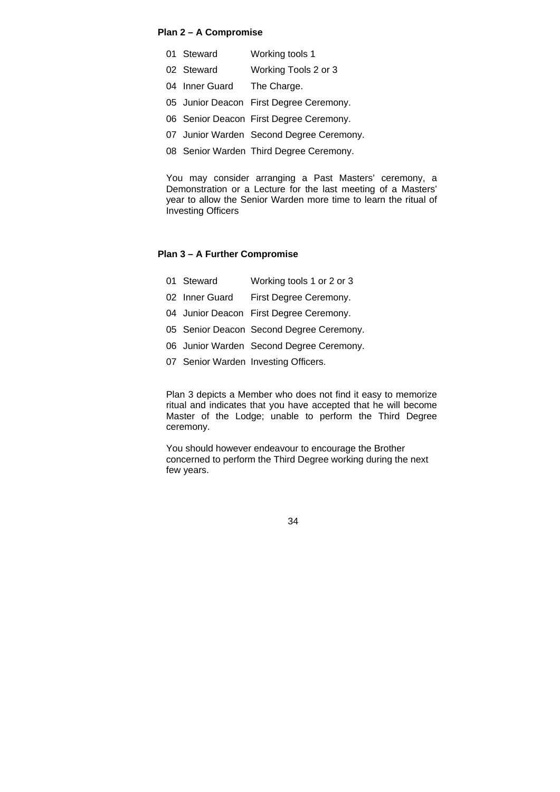#### **Plan 2 – A Compromise**

- 01 Steward Working tools 1
- 02 Steward Working Tools 2 or 3
- 04 Inner Guard The Charge.
- 05 Junior Deacon First Degree Ceremony.
- 06 Senior Deacon First Degree Ceremony.
- 07 Junior Warden Second Degree Ceremony.
- 08 Senior Warden Third Degree Ceremony.

You may consider arranging a Past Masters' ceremony, a Demonstration or a Lecture for the last meeting of a Masters' year to allow the Senior Warden more time to learn the ritual of Investing Officers

#### **Plan 3 – A Further Compromise**

- 01 Steward Working tools 1 or 2 or 3
- 02 Inner Guard First Degree Ceremony.
- 04 Junior Deacon First Degree Ceremony.
- 05 Senior Deacon Second Degree Ceremony.
- 06 Junior Warden Second Degree Ceremony.
- 07 Senior Warden Investing Officers.

Plan 3 depicts a Member who does not find it easy to memorize ritual and indicates that you have accepted that he will become Master of the Lodge; unable to perform the Third Degree ceremony.

You should however endeavour to encourage the Brother concerned to perform the Third Degree working during the next few years.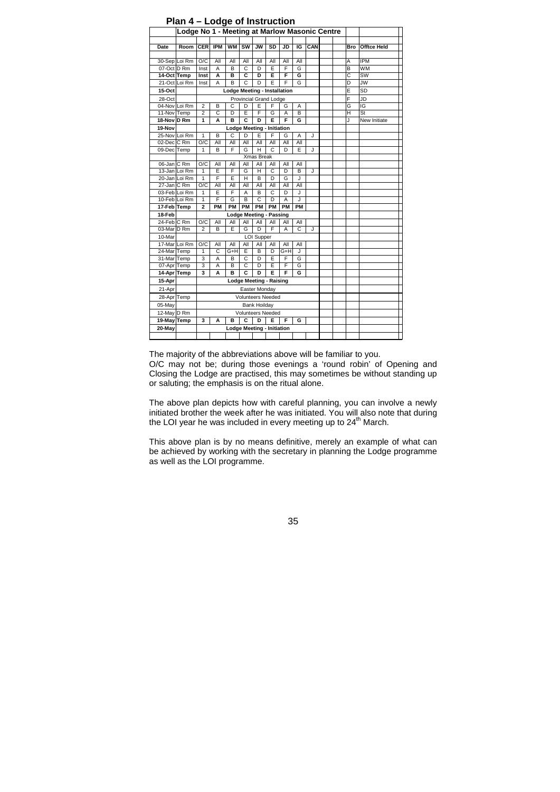|                       |               |                          |                   |           |     |                                        |           |                              |     |     | Lodge No 1 - Meeting at Marlow Masonic Centre |     |                    |
|-----------------------|---------------|--------------------------|-------------------|-----------|-----|----------------------------------------|-----------|------------------------------|-----|-----|-----------------------------------------------|-----|--------------------|
|                       |               |                          |                   |           |     |                                        |           |                              |     |     |                                               |     |                    |
| Date                  | Room          | <b>CER</b>               | <b>IPM</b>        | <b>WM</b> | SW  | <b>JW</b>                              | SD        | JD                           | IG  | CAN |                                               | Bro | <b>Offtce Held</b> |
|                       |               |                          |                   |           |     |                                        |           |                              |     |     |                                               |     |                    |
|                       | 30-Sep Loi Rm | O/C                      | All               | All       | All | All                                    | All       | All                          | All |     |                                               | Α   | <b>IPM</b>         |
| 07-Oct D Rm           |               | Inst                     | A                 | B         | C   | D                                      | E         | F                            | G   |     |                                               | B   | <b>WM</b>          |
| 14-Oct Temp           |               | Inst                     | A                 | B         | C   | D                                      | E         | F                            | G   |     |                                               | Ċ   | SW                 |
|                       | 21-Oct Loi Rm | Inst                     | A                 | B         | C   | D                                      | E         | F                            | G   |     |                                               | D   | <b>JW</b>          |
| 15-Oct                |               |                          |                   |           |     |                                        |           | Lodge Meeting - Installation |     |     |                                               | E   | SD                 |
| 28-Oct                |               |                          |                   |           |     | Provincial Grand Lodge                 |           |                              |     |     |                                               | F   | JD                 |
| 04-Nov Loi Rm         |               | $\overline{2}$           | в                 | C         | D   | E                                      | F         | G                            | Α   |     |                                               | G   | IG                 |
| 11-Nov Temp           |               | $\overline{2}$           | C                 | D         | E   | F                                      | G         | A                            | B   |     |                                               | H   | St                 |
| 18-Nov D Rm           |               | 1                        | A                 | в         | C   | D                                      | E         | F                            | G   |     |                                               | J   | New Initiate       |
| 19-Nov                |               |                          |                   |           |     | <b>Lodge Meeting - Initiation</b>      |           |                              |     |     |                                               |     |                    |
|                       | 25-Nov Loi Rm | 1                        | B                 | C         | D   | E                                      | F         | G                            | A   | J   |                                               |     |                    |
| 02-Dec C Rm           |               | O/C                      | All               | All       | All | All                                    | All       | All                          | All |     |                                               |     |                    |
| 09-Dec Temp           |               | 1                        | B                 | F         | G   | н                                      | C         | D                            | E   | J   |                                               |     |                    |
|                       |               |                          |                   |           |     | Xmas Break                             |           |                              |     |     |                                               |     |                    |
| 06-Jan C Rm           |               | O/C                      | All               | All       | All | All                                    | All       | All                          | All |     |                                               |     |                    |
|                       | 13-Jan Loi Rm | 1                        | E                 | F         | G   | н                                      | C         | D                            | B   | J   |                                               |     |                    |
|                       | 20-Jan Loi Rm | 1                        | F                 | E         | H   | B                                      | D         | G                            | J   |     |                                               |     |                    |
| 27-Jan C Rm           |               | O/C                      | All               | All       | All | All                                    | All       | All                          | All |     |                                               |     |                    |
|                       | 03-Feb Loi Rm | 1                        | E                 | F         | А   | B                                      | C         | D                            | J   |     |                                               |     |                    |
|                       | 10-Feb Loi Rm | 1                        | F                 | G         | B   | C                                      | D         | A                            | J   |     |                                               |     |                    |
| 17-Feb Temp           |               | $\overline{a}$           | PM                | PM        | PM  | PM                                     | <b>PM</b> | <b>PM</b>                    | PM  |     |                                               |     |                    |
| 18-Feb                |               |                          |                   |           |     | <b>Lodge Meeting - Passing</b>         |           |                              |     |     |                                               |     |                    |
| 24-Feb C Rm           |               | O/C                      | All               | All       | All | All                                    | All       | Αll                          | All |     |                                               |     |                    |
| 03-Mar D Rm           |               | $\overline{2}$           | B                 | E         | G   | D                                      | F         | A                            | C   | J   |                                               |     |                    |
| 10-Mar                |               |                          | <b>LOI Supper</b> |           |     |                                        |           |                              |     |     |                                               |     |                    |
|                       | 17-Mar Loi Rm | O/C                      | All               | All       | All | All                                    | All       | All                          | All |     |                                               |     |                    |
| 24-Mar Temp           |               | 1                        | Ċ                 | G+H       | E   | B                                      | D         | G+H                          | J   |     |                                               |     |                    |
| 31-Mar Temp           |               | 3                        | A                 | B         | C   | D                                      | E         | F                            | G   |     |                                               |     |                    |
| 07-Apr Temp           |               | 3                        | Α                 | B         | C   | D                                      | E         | F                            | G   |     |                                               |     |                    |
| 14-Apr Temp           |               | 3                        | A                 | B         | C   | D                                      | E         | F                            | G   |     |                                               |     |                    |
| 15-Apr                |               |                          |                   |           |     | <b>Lodge Meeting - Raising</b>         |           |                              |     |     |                                               |     |                    |
| 21-Apr                |               |                          |                   |           |     | Easter Monday                          |           |                              |     |     |                                               |     |                    |
| 28-Apr Temp           |               |                          | Volunteers Needed |           |     |                                        |           |                              |     |     |                                               |     |                    |
| 05-May                |               |                          |                   |           |     | <b>Bank Hoilday</b>                    |           |                              |     |     |                                               |     |                    |
|                       |               |                          |                   |           |     |                                        |           |                              |     |     |                                               |     |                    |
|                       |               | <b>Volunteers Needed</b> |                   |           |     |                                        |           |                              |     |     |                                               |     |                    |
| 12-May D Rm           |               |                          |                   |           |     |                                        |           |                              |     |     |                                               |     |                    |
| 19-May Temp<br>20-May |               | 3                        | A                 | в         | C   | D<br><b>Lodge Meeting - Initiation</b> | E         | F                            | G   |     |                                               |     |                    |

#### **Plan 4 – Lodge of Instruction**

The majority of the abbreviations above will be familiar to you.

O/C may not be; during those evenings a 'round robin' of Opening and Closing the Lodge are practised, this may sometimes be without standing up or saluting; the emphasis is on the ritual alone.

The above plan depicts how with careful planning, you can involve a newly initiated brother the week after he was initiated. You will also note that during the LOI year he was included in every meeting up to  $24<sup>th</sup>$  March.

This above plan is by no means definitive, merely an example of what can be achieved by working with the secretary in planning the Lodge programme as well as the LOI programme.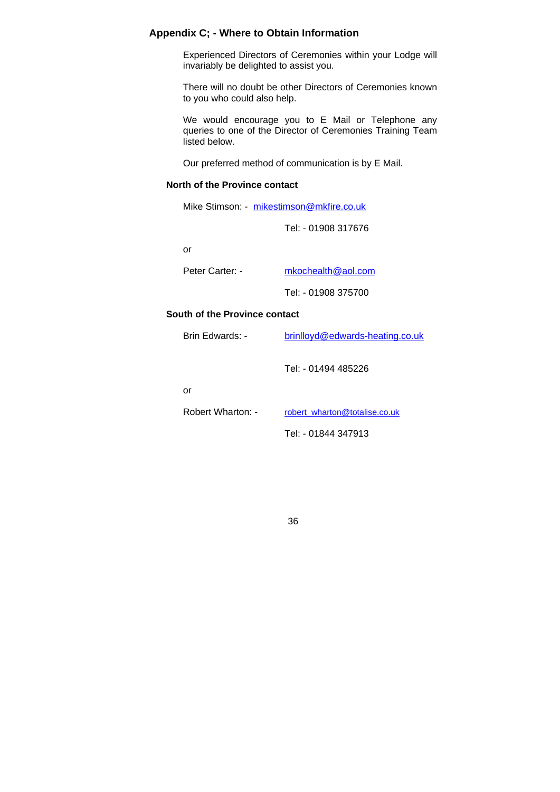### **Appendix C; - Where to Obtain Information**

Experienced Directors of Ceremonies within your Lodge will invariably be delighted to assist you.

There will no doubt be other Directors of Ceremonies known to you who could also help.

We would encourage you to E Mail or Telephone any queries to one of the Director of Ceremonies Training Team listed below.

Our preferred method of communication is by E Mail.

#### **North of the Province contact**

Mike Stimson: - mikestimson@mkfire.co.uk

Tel: - 01908 317676

or

| Peter Carter: - | mkochealth@aol.com  |
|-----------------|---------------------|
|                 | Tel: - 01908 375700 |

#### **South of the Province contact**

| Brin Edwards: -   | brinlloyd@edwards-heating.co.uk |
|-------------------|---------------------------------|
|                   | Tel: - 01494 485226             |
| or                |                                 |
| Robert Wharton: - | robert wharton@totalise.co.uk   |
|                   | Tel: - 01844 347913             |
|                   |                                 |